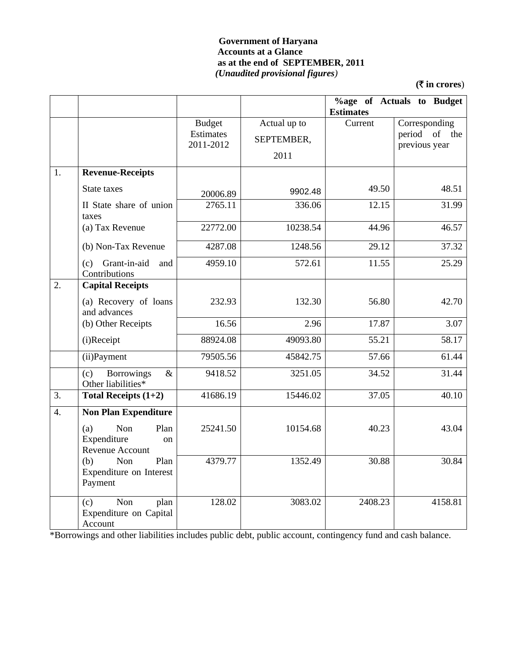### **Government of Haryana Accounts at a Glance as at the end of SEPTEMBER, 2011** *(Unaudited provisional figures)*

**(**` **in crores**)

|                  |                                                            |                                         |                                    | <b>Estimates</b> | <b>%age of Actuals to Budget</b>                   |
|------------------|------------------------------------------------------------|-----------------------------------------|------------------------------------|------------------|----------------------------------------------------|
|                  |                                                            | <b>Budget</b><br>Estimates<br>2011-2012 | Actual up to<br>SEPTEMBER,<br>2011 | Current          | Corresponding<br>period of<br>the<br>previous year |
| 1.               | <b>Revenue-Receipts</b>                                    |                                         |                                    |                  |                                                    |
|                  | State taxes                                                | 20006.89                                | 9902.48                            | 49.50            | 48.51                                              |
|                  | II State share of union<br>taxes                           | 2765.11                                 | 336.06                             | 12.15            | 31.99                                              |
|                  | (a) Tax Revenue                                            | 22772.00                                | 10238.54                           | 44.96            | 46.57                                              |
|                  | (b) Non-Tax Revenue                                        | 4287.08                                 | 1248.56                            | 29.12            | 37.32                                              |
|                  | (c) Grant-in-aid<br>and<br>Contributions                   | 4959.10                                 | 572.61                             | 11.55            | 25.29                                              |
| 2.               | <b>Capital Receipts</b>                                    |                                         |                                    |                  |                                                    |
|                  | (a) Recovery of loans<br>and advances                      | 232.93                                  | 132.30                             | 56.80            | 42.70                                              |
|                  | (b) Other Receipts                                         | 16.56                                   | 2.96                               | 17.87            | 3.07                                               |
|                  | (i)Receipt                                                 | 88924.08                                | 49093.80                           | 55.21            | 58.17                                              |
|                  | (ii) Payment                                               | 79505.56                                | 45842.75                           | 57.66            | 61.44                                              |
|                  | <b>Borrowings</b><br>(c)<br>$\&$<br>Other liabilities*     | 9418.52                                 | 3251.05                            | 34.52            | 31.44                                              |
| 3.               | Total Receipts $(1+2)$                                     | 41686.19                                | 15446.02                           | 37.05            | 40.10                                              |
| $\overline{4}$ . | <b>Non Plan Expenditure</b>                                |                                         |                                    |                  |                                                    |
|                  | Non<br>Plan<br>(a)<br>Expenditure<br>on<br>Revenue Account | 25241.50                                | 10154.68                           | 40.23            | 43.04                                              |
|                  | (b)<br>Non<br>Plan<br>Expenditure on Interest<br>Payment   | 4379.77                                 | 1352.49                            | 30.88            | 30.84                                              |
|                  | Non<br>(c)<br>plan<br>Expenditure on Capital<br>Account    | 128.02                                  | 3083.02                            | 2408.23          | 4158.81                                            |

\*Borrowings and other liabilities includes public debt, public account, contingency fund and cash balance.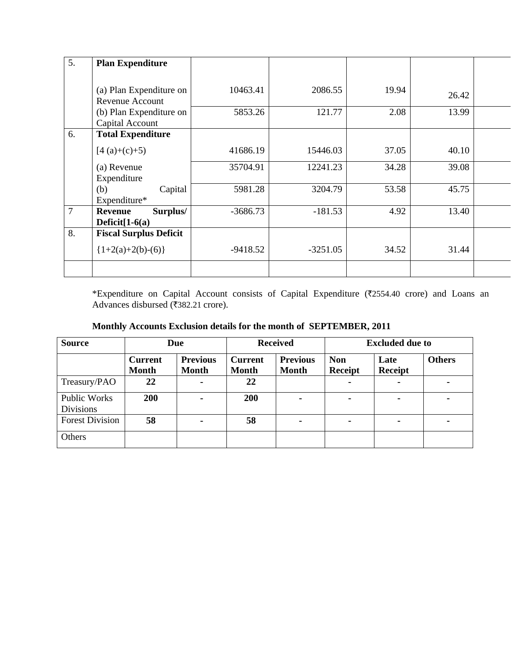| 5. | <b>Plan Expenditure</b>       |            |            |       |       |  |
|----|-------------------------------|------------|------------|-------|-------|--|
|    |                               |            |            |       |       |  |
|    | (a) Plan Expenditure on       | 10463.41   | 2086.55    | 19.94 | 26.42 |  |
|    | Revenue Account               |            |            |       |       |  |
|    | (b) Plan Expenditure on       | 5853.26    | 121.77     | 2.08  | 13.99 |  |
|    | Capital Account               |            |            |       |       |  |
| 6. | <b>Total Expenditure</b>      |            |            |       |       |  |
|    | $[4(a)+(c)+5)$                | 41686.19   | 15446.03   | 37.05 | 40.10 |  |
|    | (a) Revenue                   | 35704.91   | 12241.23   | 34.28 | 39.08 |  |
|    | Expenditure                   |            |            |       |       |  |
|    | (b)<br>Capital                | 5981.28    | 3204.79    | 53.58 | 45.75 |  |
|    | Expenditure*                  |            |            |       |       |  |
| 7  | Surplus/<br><b>Revenue</b>    | $-3686.73$ | $-181.53$  | 4.92  | 13.40 |  |
|    | Deficit $[1-6(a)]$            |            |            |       |       |  |
| 8. | <b>Fiscal Surplus Deficit</b> |            |            |       |       |  |
|    | ${1+2(a)+2(b)-(6)}$           | -9418.52   | $-3251.05$ | 34.52 | 31.44 |  |
|    |                               |            |            |       |       |  |

\*Expenditure on Capital Account consists of Capital Expenditure (₹2554.40 crore) and Loans an Advances disbursed (₹382.21 crore).

|  |  |  |  |  | Monthly Accounts Exclusion details for the month of SEPTEMBER, 2011 |  |
|--|--|--|--|--|---------------------------------------------------------------------|--|
|--|--|--|--|--|---------------------------------------------------------------------|--|

| <b>Source</b>                           |                                | Due                             |                                | <b>Received</b>                 |                       | <b>Excluded due to</b> |               |  |
|-----------------------------------------|--------------------------------|---------------------------------|--------------------------------|---------------------------------|-----------------------|------------------------|---------------|--|
|                                         | <b>Current</b><br><b>Month</b> | <b>Previous</b><br><b>Month</b> | <b>Current</b><br><b>Month</b> | <b>Previous</b><br><b>Month</b> | <b>Non</b><br>Receipt | Late<br><b>Receipt</b> | <b>Others</b> |  |
| Treasury/PAO                            | 22                             |                                 | 22                             |                                 | $\blacksquare$        | ۰                      |               |  |
| <b>Public Works</b><br><b>Divisions</b> | 200                            |                                 | 200                            |                                 | ۰                     | ۰                      |               |  |
| <b>Forest Division</b>                  | 58                             |                                 | 58                             | ۰.                              | ۰                     | ۰                      |               |  |
| Others                                  |                                |                                 |                                |                                 |                       |                        |               |  |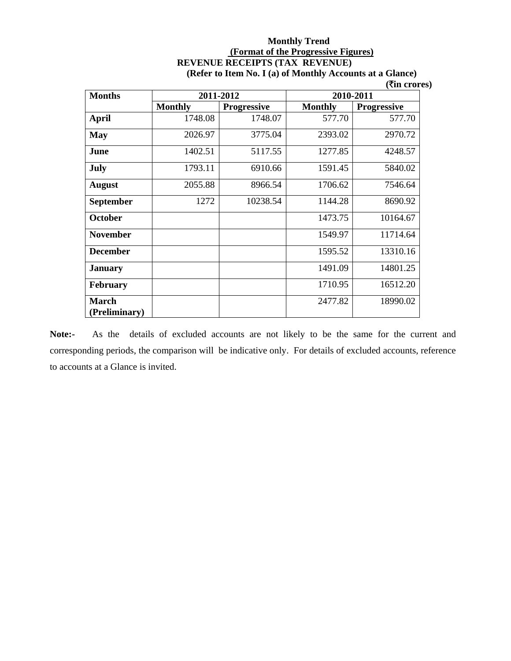#### **Monthly Trend (Format of the Progressive Figures) REVENUE RECEIPTS (TAX REVENUE) (Refer to Item No. I (a) of Monthly Accounts at a Glance)**

 **(**`**in crores)** 

| <b>Months</b>                 | 2011-2012      |                    | 2010-2011      |                    |
|-------------------------------|----------------|--------------------|----------------|--------------------|
|                               | <b>Monthly</b> | <b>Progressive</b> | <b>Monthly</b> | <b>Progressive</b> |
| <b>April</b>                  | 1748.08        | 1748.07            | 577.70         | 577.70             |
| <b>May</b>                    | 2026.97        | 3775.04            | 2393.02        | 2970.72            |
| June                          | 1402.51        | 5117.55            | 1277.85        | 4248.57            |
| July                          | 1793.11        | 6910.66            | 1591.45        | 5840.02            |
| <b>August</b>                 | 2055.88        | 8966.54            | 1706.62        | 7546.64            |
| <b>September</b>              | 1272           | 10238.54           | 1144.28        | 8690.92            |
| <b>October</b>                |                |                    | 1473.75        | 10164.67           |
| <b>November</b>               |                |                    | 1549.97        | 11714.64           |
| <b>December</b>               |                |                    | 1595.52        | 13310.16           |
| <b>January</b>                |                |                    | 1491.09        | 14801.25           |
| <b>February</b>               |                |                    | 1710.95        | 16512.20           |
| <b>March</b><br>(Preliminary) |                |                    | 2477.82        | 18990.02           |

**Note:-** As the details of excluded accounts are not likely to be the same for the current and corresponding periods, the comparison will be indicative only. For details of excluded accounts, reference to accounts at a Glance is invited.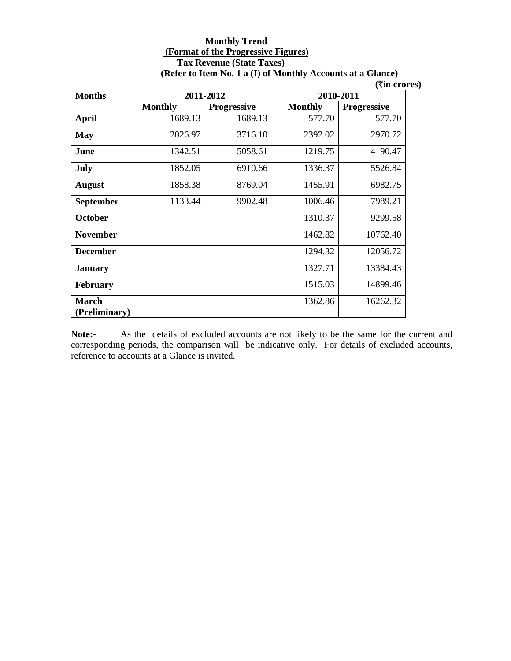#### **Monthly Trend (Format of the Progressive Figures) Tax Revenue (State Taxes) (Refer to Item No. 1 a (I) of Monthly Accounts at a Glance)**

 **(**`**in crores)** 

| <b>Months</b>                 |                | 2011-2012          | 2010-2011      |                    |  |
|-------------------------------|----------------|--------------------|----------------|--------------------|--|
|                               | <b>Monthly</b> | <b>Progressive</b> | <b>Monthly</b> | <b>Progressive</b> |  |
| <b>April</b>                  | 1689.13        | 1689.13            | 577.70         | 577.70             |  |
| <b>May</b>                    | 2026.97        | 3716.10            | 2392.02        | 2970.72            |  |
| June                          | 1342.51        | 5058.61            | 1219.75        | 4190.47            |  |
| July                          | 1852.05        | 6910.66            | 1336.37        | 5526.84            |  |
| <b>August</b>                 | 1858.38        | 8769.04            | 1455.91        | 6982.75            |  |
| <b>September</b>              | 1133.44        | 9902.48            | 1006.46        | 7989.21            |  |
| <b>October</b>                |                |                    | 1310.37        | 9299.58            |  |
| <b>November</b>               |                |                    | 1462.82        | 10762.40           |  |
| <b>December</b>               |                |                    | 1294.32        | 12056.72           |  |
| <b>January</b>                |                |                    | 1327.71        | 13384.43           |  |
| <b>February</b>               |                |                    | 1515.03        | 14899.46           |  |
| <b>March</b><br>(Preliminary) |                |                    | 1362.86        | 16262.32           |  |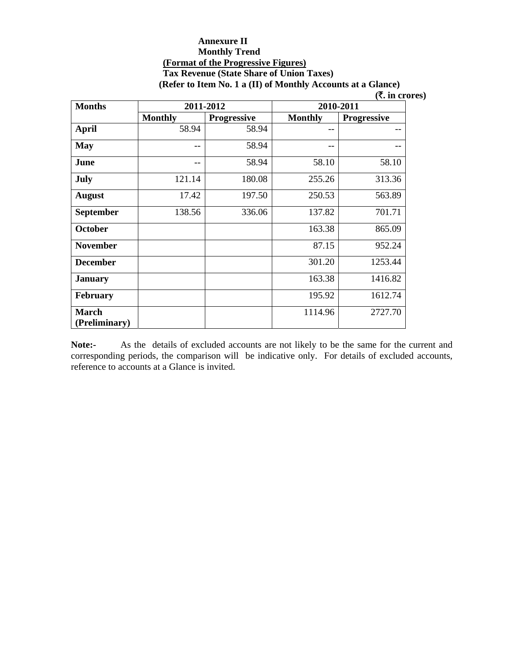#### **Annexure II Monthly Trend (Format of the Progressive Figures) Tax Revenue (State Share of Union Taxes) (Refer to Item No. 1 a (II) of Monthly Accounts at a Glance)**

 **(**`**. in crores)** 

| <b>Months</b>                 |                | 2011-2012          | 2010-2011      |                    |  |
|-------------------------------|----------------|--------------------|----------------|--------------------|--|
|                               | <b>Monthly</b> | <b>Progressive</b> | <b>Monthly</b> | <b>Progressive</b> |  |
| <b>April</b>                  | 58.94          | 58.94              |                |                    |  |
| <b>May</b>                    | --             | 58.94              |                |                    |  |
| June                          | --             | 58.94              | 58.10          | 58.10              |  |
| July                          | 121.14         | 180.08             | 255.26         | 313.36             |  |
| <b>August</b>                 | 17.42          | 197.50             | 250.53         | 563.89             |  |
| <b>September</b>              | 138.56         | 336.06             | 137.82         | 701.71             |  |
| <b>October</b>                |                |                    | 163.38         | 865.09             |  |
| <b>November</b>               |                |                    | 87.15          | 952.24             |  |
| <b>December</b>               |                |                    | 301.20         | 1253.44            |  |
| <b>January</b>                |                |                    | 163.38         | 1416.82            |  |
| <b>February</b>               |                |                    | 195.92         | 1612.74            |  |
| <b>March</b><br>(Preliminary) |                |                    | 1114.96        | 2727.70            |  |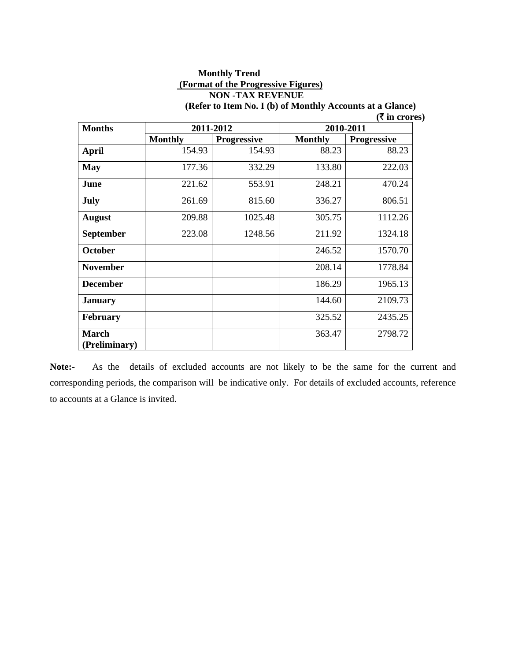#### **Monthly Trend (Format of the Progressive Figures) NON -TAX REVENUE (Refer to Item No. I (b) of Monthly Accounts at a Glance)**

|                 |                |                    |                | $($ <b>₹</b> in crores) |  |
|-----------------|----------------|--------------------|----------------|-------------------------|--|
| <b>Months</b>   |                | 2011-2012          | 2010-2011      |                         |  |
|                 | <b>Monthly</b> | <b>Progressive</b> | <b>Monthly</b> | <b>Progressive</b>      |  |
| <b>April</b>    | 154.93         | 154.93             | 88.23          | 88.23                   |  |
| <b>May</b>      | 177.36         | 332.29             | 133.80         | 222.03                  |  |
| June            | 221.62         | 553.91             | 248.21         | 470.24                  |  |
| July            | 261.69         | 815.60             | 336.27         | 806.51                  |  |
| <b>August</b>   | 209.88         | 1025.48            | 305.75         | 1112.26                 |  |
| September       | 223.08         | 1248.56            | 211.92         | 1324.18                 |  |
| <b>October</b>  |                |                    | 246.52         | 1570.70                 |  |
| <b>November</b> |                |                    | 208.14         | 1778.84                 |  |
| <b>December</b> |                |                    | 186.29         | 1965.13                 |  |
| <b>January</b>  |                |                    | 144.60         | 2109.73                 |  |
| <b>February</b> |                |                    | 325.52         | 2435.25                 |  |
| <b>March</b>    |                |                    | 363.47         | 2798.72                 |  |
| (Preliminary)   |                |                    |                |                         |  |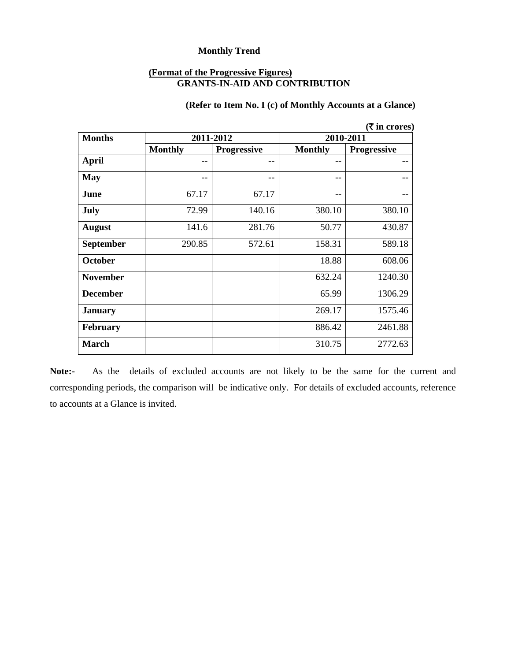#### **(Format of the Progressive Figures) GRANTS-IN-AID AND CONTRIBUTION**

# **(Refer to Item No. I (c) of Monthly Accounts at a Glance)**

|                  |                |             |                | ( ₹ in cross) |  |
|------------------|----------------|-------------|----------------|---------------|--|
| <b>Months</b>    |                | 2011-2012   | 2010-2011      |               |  |
|                  | <b>Monthly</b> | Progressive | <b>Monthly</b> | Progressive   |  |
| <b>April</b>     |                | --          | --             | --            |  |
| <b>May</b>       |                | $- -$       | --             |               |  |
| June             | 67.17          | 67.17       | --             |               |  |
| <b>July</b>      | 72.99          | 140.16      | 380.10         | 380.10        |  |
| <b>August</b>    | 141.6          | 281.76      | 50.77          | 430.87        |  |
| <b>September</b> | 290.85         | 572.61      | 158.31         | 589.18        |  |
| <b>October</b>   |                |             | 18.88          | 608.06        |  |
| <b>November</b>  |                |             | 632.24         | 1240.30       |  |
| <b>December</b>  |                |             | 65.99          | 1306.29       |  |
| <b>January</b>   |                |             | 269.17         | 1575.46       |  |
| February         |                |             | 886.42         | 2461.88       |  |
| <b>March</b>     |                |             | 310.75         | 2772.63       |  |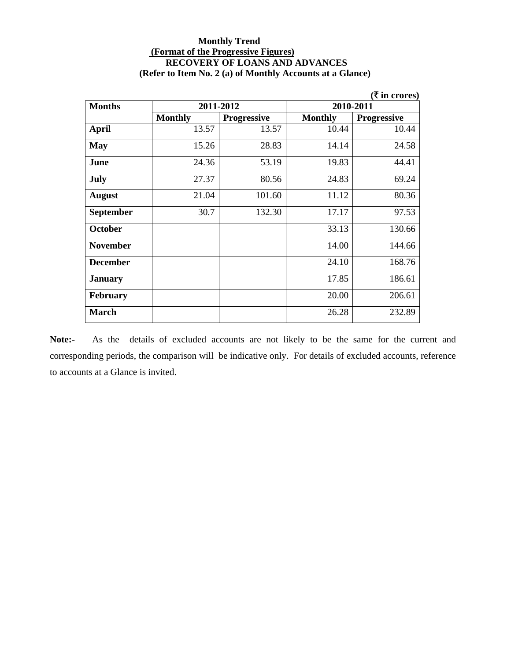#### **Monthly Trend (Format of the Progressive Figures) RECOVERY OF LOANS AND ADVANCES (Refer to Item No. 2 (a) of Monthly Accounts at a Glance)**

|                  |                |                    |                | ( ₹ in cross)      |  |
|------------------|----------------|--------------------|----------------|--------------------|--|
| <b>Months</b>    |                | 2011-2012          | 2010-2011      |                    |  |
|                  | <b>Monthly</b> | <b>Progressive</b> | <b>Monthly</b> | <b>Progressive</b> |  |
| <b>April</b>     | 13.57          | 13.57              | 10.44          | 10.44              |  |
| <b>May</b>       | 15.26          | 28.83              | 14.14          | 24.58              |  |
| June             | 24.36          | 53.19              | 19.83          | 44.41              |  |
| <b>July</b>      | 27.37          | 80.56              | 24.83          | 69.24              |  |
| <b>August</b>    | 21.04          | 101.60             | 11.12          | 80.36              |  |
| <b>September</b> | 30.7           | 132.30             | 17.17          | 97.53              |  |
| October          |                |                    | 33.13          | 130.66             |  |
| <b>November</b>  |                |                    | 14.00          | 144.66             |  |
| <b>December</b>  |                |                    | 24.10          | 168.76             |  |
| <b>January</b>   |                |                    | 17.85          | 186.61             |  |
| <b>February</b>  |                |                    | 20.00          | 206.61             |  |
| <b>March</b>     |                |                    | 26.28          | 232.89             |  |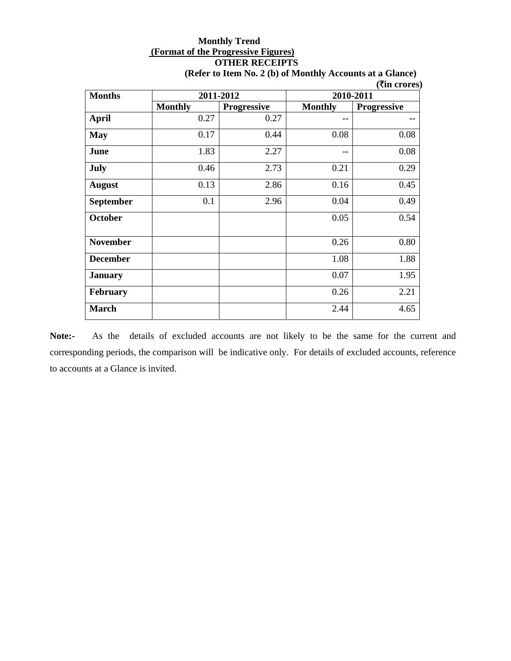# **Monthly Trend (Format of the Progressive Figures) OTHER RECEIPTS**

|                  |                |                    |                | <b>(₹in crores)</b> |  |
|------------------|----------------|--------------------|----------------|---------------------|--|
| <b>Months</b>    |                | 2011-2012          | 2010-2011      |                     |  |
|                  | <b>Monthly</b> | <b>Progressive</b> | <b>Monthly</b> | <b>Progressive</b>  |  |
| <b>April</b>     | 0.27           | 0.27               | --             |                     |  |
| <b>May</b>       | 0.17           | 0.44               | 0.08           | 0.08                |  |
| June             | 1.83           | 2.27               |                | 0.08                |  |
| <b>July</b>      | 0.46           | 2.73               | 0.21           | 0.29                |  |
| <b>August</b>    | 0.13           | 2.86               | 0.16           | 0.45                |  |
| <b>September</b> | 0.1            | 2.96               | 0.04           | 0.49                |  |
| October          |                |                    | 0.05           | 0.54                |  |
| <b>November</b>  |                |                    | 0.26           | 0.80                |  |
| <b>December</b>  |                |                    | 1.08           | 1.88                |  |
| <b>January</b>   |                |                    | 0.07           | 1.95                |  |
| <b>February</b>  |                |                    | 0.26           | 2.21                |  |
| <b>March</b>     |                |                    | 2.44           | 4.65                |  |

**(Refer to Item No. 2 (b) of Monthly Accounts at a Glance)**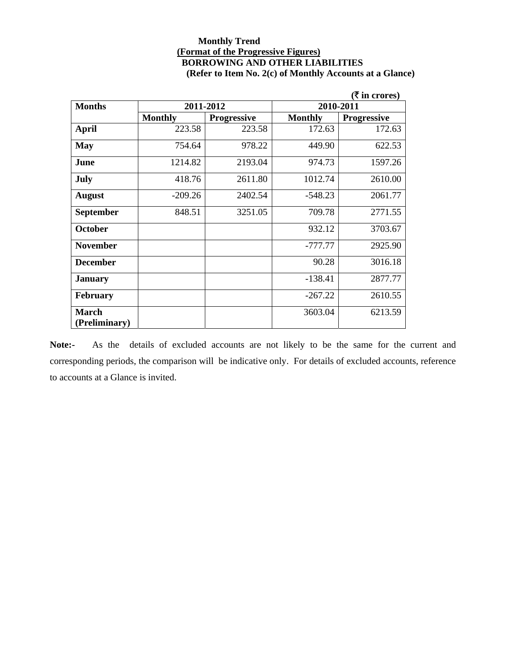#### **Monthly Trend (Format of the Progressive Figures) BORROWING AND OTHER LIABILITIES (Refer to Item No. 2(c) of Monthly Accounts at a Glance)**

|                 |                |                    |                | (₹ in crores)      |  |
|-----------------|----------------|--------------------|----------------|--------------------|--|
| <b>Months</b>   |                | 2011-2012          | 2010-2011      |                    |  |
|                 | <b>Monthly</b> | <b>Progressive</b> | <b>Monthly</b> | <b>Progressive</b> |  |
| <b>April</b>    | 223.58         | 223.58             | 172.63         | 172.63             |  |
| <b>May</b>      | 754.64         | 978.22             | 449.90         | 622.53             |  |
| June            | 1214.82        | 2193.04            | 974.73         | 1597.26            |  |
| July            | 418.76         | 2611.80            | 1012.74        | 2610.00            |  |
| <b>August</b>   | $-209.26$      | 2402.54            | $-548.23$      | 2061.77            |  |
| September       | 848.51         | 3251.05            | 709.78         | 2771.55            |  |
| <b>October</b>  |                |                    | 932.12         | 3703.67            |  |
| <b>November</b> |                |                    | -777.77        | 2925.90            |  |
| <b>December</b> |                |                    | 90.28          | 3016.18            |  |
| <b>January</b>  |                |                    | $-138.41$      | 2877.77            |  |
| <b>February</b> |                |                    | $-267.22$      | 2610.55            |  |
| <b>March</b>    |                |                    | 3603.04        | 6213.59            |  |
| (Preliminary)   |                |                    |                |                    |  |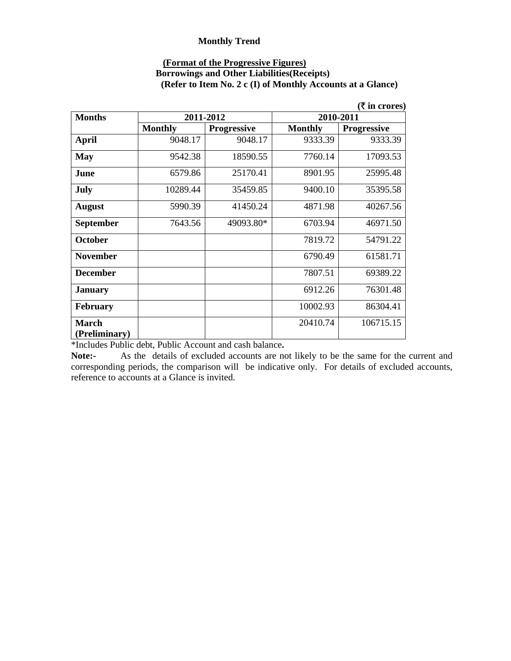### **(Format of the Progressive Figures)**

#### **Borrowings and Other Liabilities(Receipts) (Refer to Item No. 2 c (I) of Monthly Accounts at a Glance)**

|                               |                |                    |                | (₹ in crores)      |
|-------------------------------|----------------|--------------------|----------------|--------------------|
| <b>Months</b>                 | 2011-2012      |                    | 2010-2011      |                    |
|                               | <b>Monthly</b> | <b>Progressive</b> | <b>Monthly</b> | <b>Progressive</b> |
| <b>April</b>                  | 9048.17        | 9048.17            | 9333.39        | 9333.39            |
| <b>May</b>                    | 9542.38        | 18590.55           | 7760.14        | 17093.53           |
| June                          | 6579.86        | 25170.41           | 8901.95        | 25995.48           |
| July                          | 10289.44       | 35459.85           | 9400.10        | 35395.58           |
| <b>August</b>                 | 5990.39        | 41450.24           | 4871.98        | 40267.56           |
| <b>September</b>              | 7643.56        | 49093.80*          | 6703.94        | 46971.50           |
| October                       |                |                    | 7819.72        | 54791.22           |
| <b>November</b>               |                |                    | 6790.49        | 61581.71           |
| <b>December</b>               |                |                    | 7807.51        | 69389.22           |
| <b>January</b>                |                |                    | 6912.26        | 76301.48           |
| <b>February</b>               |                |                    | 10002.93       | 86304.41           |
| <b>March</b><br>(Preliminary) |                |                    | 20410.74       | 106715.15          |

\*Includes Public debt, Public Account and cash balance**.**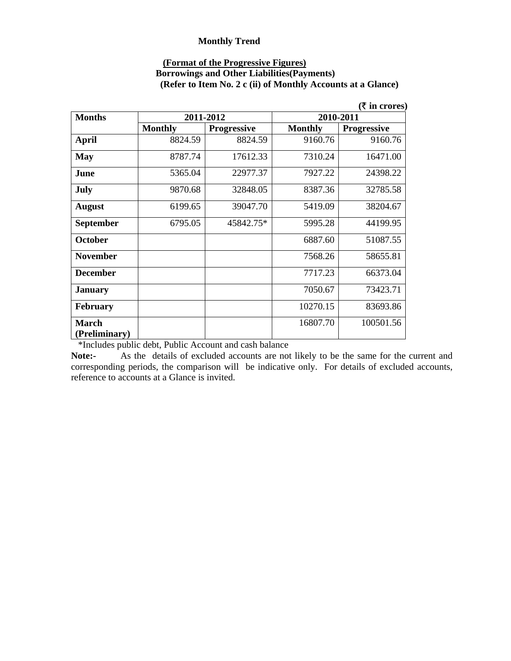#### **(Format of the Progressive Figures)**

#### **Borrowings and Other Liabilities(Payments) (Refer to Item No. 2 c (ii) of Monthly Accounts at a Glance)**

|                               |                |                    |                | $(ξ$ in crores)    |
|-------------------------------|----------------|--------------------|----------------|--------------------|
| <b>Months</b>                 | 2011-2012      |                    | 2010-2011      |                    |
|                               | <b>Monthly</b> | <b>Progressive</b> | <b>Monthly</b> | <b>Progressive</b> |
| <b>April</b>                  | 8824.59        | 8824.59            | 9160.76        | 9160.76            |
| <b>May</b>                    | 8787.74        | 17612.33           | 7310.24        | 16471.00           |
| June                          | 5365.04        | 22977.37           | 7927.22        | 24398.22           |
| July                          | 9870.68        | 32848.05           | 8387.36        | 32785.58           |
| <b>August</b>                 | 6199.65        | 39047.70           | 5419.09        | 38204.67           |
| <b>September</b>              | 6795.05        | 45842.75*          | 5995.28        | 44199.95           |
| <b>October</b>                |                |                    | 6887.60        | 51087.55           |
| <b>November</b>               |                |                    | 7568.26        | 58655.81           |
| <b>December</b>               |                |                    | 7717.23        | 66373.04           |
| <b>January</b>                |                |                    | 7050.67        | 73423.71           |
| <b>February</b>               |                |                    | 10270.15       | 83693.86           |
| <b>March</b><br>(Preliminary) |                |                    | 16807.70       | 100501.56          |

\*Includes public debt, Public Account and cash balance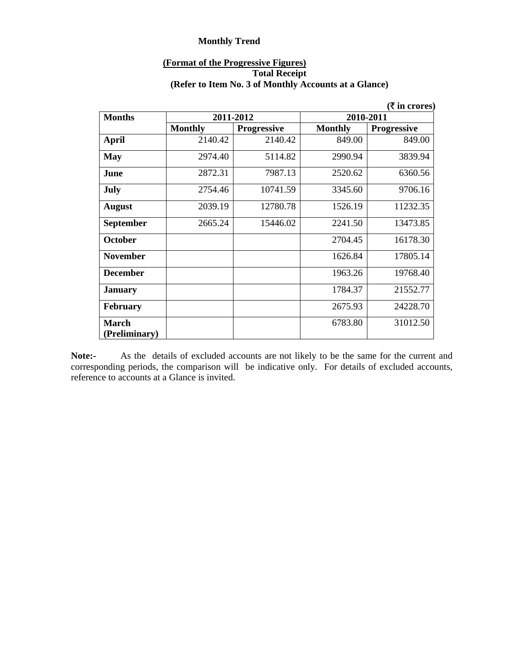#### **(Format of the Progressive Figures) Total Receipt (Refer to Item No. 3 of Monthly Accounts at a Glance)**

|                               |                |                    |                | (₹ in crores)      |
|-------------------------------|----------------|--------------------|----------------|--------------------|
| <b>Months</b>                 |                | 2011-2012          | 2010-2011      |                    |
|                               | <b>Monthly</b> | <b>Progressive</b> | <b>Monthly</b> | <b>Progressive</b> |
| April                         | 2140.42        | 2140.42            | 849.00         | 849.00             |
| <b>May</b>                    | 2974.40        | 5114.82            | 2990.94        | 3839.94            |
| June                          | 2872.31        | 7987.13            | 2520.62        | 6360.56            |
| <b>July</b>                   | 2754.46        | 10741.59           | 3345.60        | 9706.16            |
| <b>August</b>                 | 2039.19        | 12780.78           | 1526.19        | 11232.35           |
| <b>September</b>              | 2665.24        | 15446.02           | 2241.50        | 13473.85           |
| October                       |                |                    | 2704.45        | 16178.30           |
| <b>November</b>               |                |                    | 1626.84        | 17805.14           |
| <b>December</b>               |                |                    | 1963.26        | 19768.40           |
| <b>January</b>                |                |                    | 1784.37        | 21552.77           |
| <b>February</b>               |                |                    | 2675.93        | 24228.70           |
| <b>March</b><br>(Preliminary) |                |                    | 6783.80        | 31012.50           |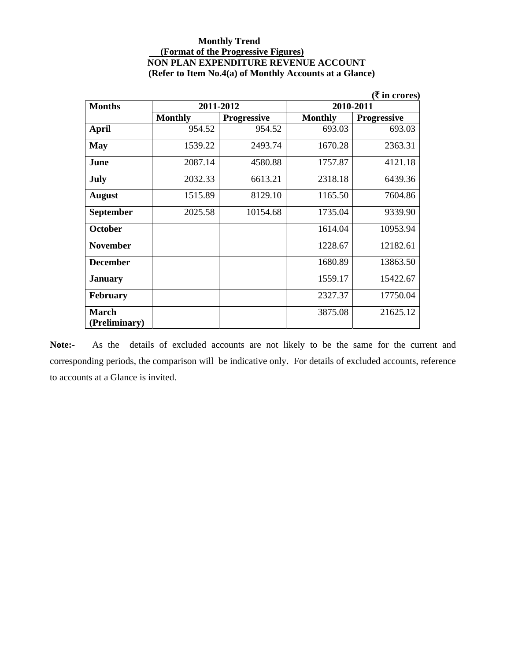#### **Monthly Trend (Format of the Progressive Figures) NON PLAN EXPENDITURE REVENUE ACCOUNT (Refer to Item No.4(a) of Monthly Accounts at a Glance)**

|                 |                |                    |                | ( <b>₹</b> in crores) |
|-----------------|----------------|--------------------|----------------|-----------------------|
| <b>Months</b>   | 2011-2012      |                    | 2010-2011      |                       |
|                 | <b>Monthly</b> | <b>Progressive</b> | <b>Monthly</b> | <b>Progressive</b>    |
| <b>April</b>    | 954.52         | 954.52             | 693.03         | 693.03                |
| <b>May</b>      | 1539.22        | 2493.74            | 1670.28        | 2363.31               |
| June            | 2087.14        | 4580.88            | 1757.87        | 4121.18               |
| July            | 2032.33        | 6613.21            | 2318.18        | 6439.36               |
| <b>August</b>   | 1515.89        | 8129.10            | 1165.50        | 7604.86               |
| September       | 2025.58        | 10154.68           | 1735.04        | 9339.90               |
| <b>October</b>  |                |                    | 1614.04        | 10953.94              |
| <b>November</b> |                |                    | 1228.67        | 12182.61              |
| <b>December</b> |                |                    | 1680.89        | 13863.50              |
| <b>January</b>  |                |                    | 1559.17        | 15422.67              |
| <b>February</b> |                |                    | 2327.37        | 17750.04              |
| <b>March</b>    |                |                    | 3875.08        | 21625.12              |
| (Preliminary)   |                |                    |                |                       |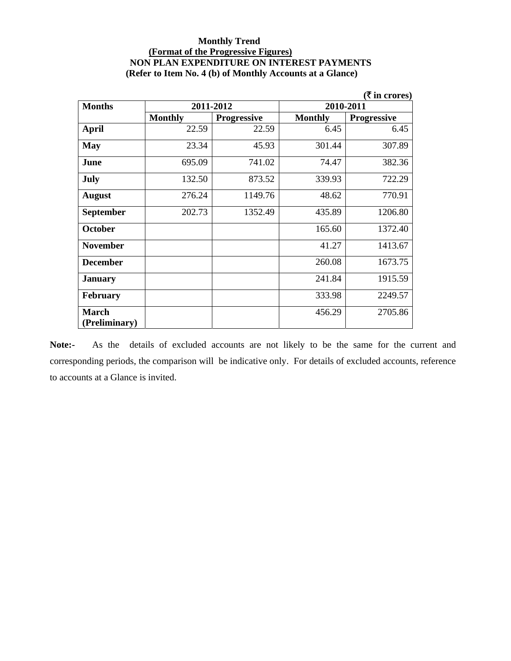#### **Monthly Trend (Format of the Progressive Figures) NON PLAN EXPENDITURE ON INTEREST PAYMENTS (Refer to Item No. 4 (b) of Monthly Accounts at a Glance)**

|                  |                |                    |                | ( <b>₹</b> in crores) |
|------------------|----------------|--------------------|----------------|-----------------------|
| <b>Months</b>    |                | 2011-2012          | 2010-2011      |                       |
|                  | <b>Monthly</b> | <b>Progressive</b> | <b>Monthly</b> | <b>Progressive</b>    |
| <b>April</b>     | 22.59          | 22.59              | 6.45           | 6.45                  |
| <b>May</b>       | 23.34          | 45.93              | 301.44         | 307.89                |
| June             | 695.09         | 741.02             | 74.47          | 382.36                |
| July             | 132.50         | 873.52             | 339.93         | 722.29                |
| <b>August</b>    | 276.24         | 1149.76            | 48.62          | 770.91                |
| <b>September</b> | 202.73         | 1352.49            | 435.89         | 1206.80               |
| <b>October</b>   |                |                    | 165.60         | 1372.40               |
| <b>November</b>  |                |                    | 41.27          | 1413.67               |
| <b>December</b>  |                |                    | 260.08         | 1673.75               |
| <b>January</b>   |                |                    | 241.84         | 1915.59               |
| <b>February</b>  |                |                    | 333.98         | 2249.57               |
| <b>March</b>     |                |                    | 456.29         | 2705.86               |
| (Preliminary)    |                |                    |                |                       |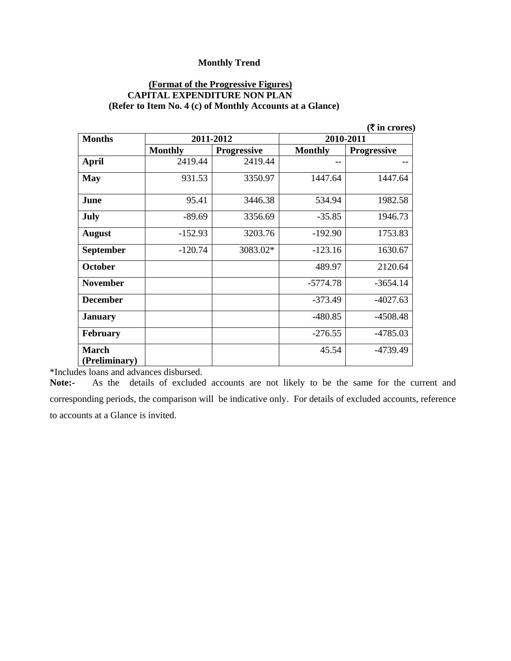#### **(Format of the Progressive Figures) CAPITAL EXPENDITURE NON PLAN (Refer to Item No. 4 (c) of Monthly Accounts at a Glance)**

|                               |                |                    |                | ( ₹ in cross)      |
|-------------------------------|----------------|--------------------|----------------|--------------------|
| <b>Months</b>                 | 2011-2012      |                    | 2010-2011      |                    |
|                               | <b>Monthly</b> | <b>Progressive</b> | <b>Monthly</b> | <b>Progressive</b> |
| April                         | 2419.44        | 2419.44            |                |                    |
| May                           | 931.53         | 3350.97            | 1447.64        | 1447.64            |
| June                          | 95.41          | 3446.38            | 534.94         | 1982.58            |
| July                          | $-89.69$       | 3356.69            | $-35.85$       | 1946.73            |
| <b>August</b>                 | $-152.93$      | 3203.76            | $-192.90$      | 1753.83            |
| <b>September</b>              | $-120.74$      | 3083.02*           | $-123.16$      | 1630.67            |
| <b>October</b>                |                |                    | 489.97         | 2120.64            |
| <b>November</b>               |                |                    | $-5774.78$     | $-3654.14$         |
| <b>December</b>               |                |                    | $-373.49$      | $-4027.63$         |
| <b>January</b>                |                |                    | $-480.85$      | $-4508.48$         |
| <b>February</b>               |                |                    | $-276.55$      | $-4785.03$         |
| <b>March</b><br>(Preliminary) |                |                    | 45.54          | -4739.49           |
|                               |                |                    |                |                    |

\*Includes loans and advances disbursed.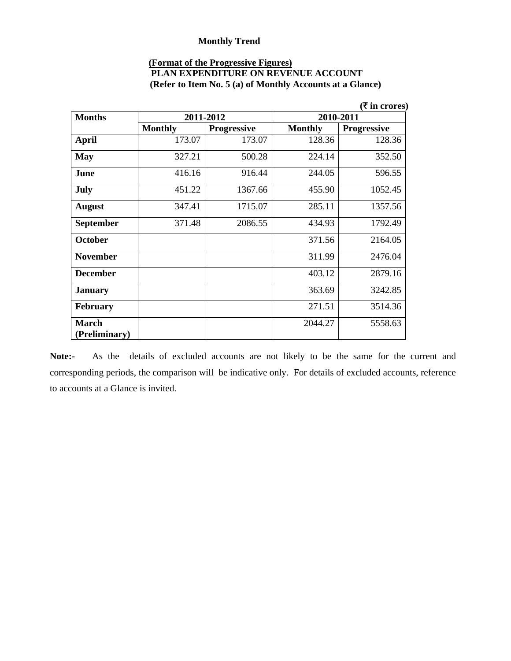### **(Format of the Progressive Figures)**

| <b>PLAN EXPENDITURE ON REVENUE ACCOUNT</b>                |  |
|-----------------------------------------------------------|--|
| (Refer to Item No. 5 (a) of Monthly Accounts at a Glance) |  |

|                               |                |                    |                | ( ₹ in crores)     |
|-------------------------------|----------------|--------------------|----------------|--------------------|
| <b>Months</b>                 | 2011-2012      |                    | 2010-2011      |                    |
|                               | <b>Monthly</b> | <b>Progressive</b> | <b>Monthly</b> | <b>Progressive</b> |
| <b>April</b>                  | 173.07         | 173.07             | 128.36         | 128.36             |
| <b>May</b>                    | 327.21         | 500.28             | 224.14         | 352.50             |
| June                          | 416.16         | 916.44             | 244.05         | 596.55             |
| July                          | 451.22         | 1367.66            | 455.90         | 1052.45            |
| <b>August</b>                 | 347.41         | 1715.07            | 285.11         | 1357.56            |
| September                     | 371.48         | 2086.55            | 434.93         | 1792.49            |
| <b>October</b>                |                |                    | 371.56         | 2164.05            |
| <b>November</b>               |                |                    | 311.99         | 2476.04            |
| <b>December</b>               |                |                    | 403.12         | 2879.16            |
| <b>January</b>                |                |                    | 363.69         | 3242.85            |
| <b>February</b>               |                |                    | 271.51         | 3514.36            |
| <b>March</b><br>(Preliminary) |                |                    | 2044.27        | 5558.63            |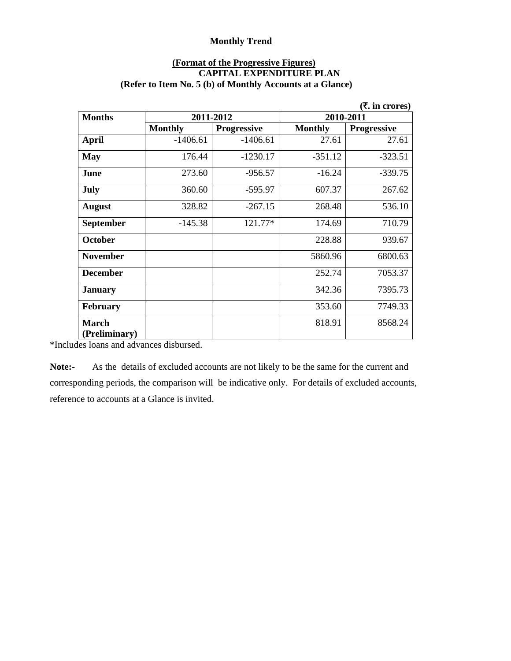#### **(Format of the Progressive Figures) CAPITAL EXPENDITURE PLAN (Refer to Item No. 5 (b) of Monthly Accounts at a Glance)**

|                               |                |                    |                | ( $\bar{\mathbf{z}}$ , in crores) |
|-------------------------------|----------------|--------------------|----------------|-----------------------------------|
| <b>Months</b>                 | 2011-2012      |                    | 2010-2011      |                                   |
|                               | <b>Monthly</b> | <b>Progressive</b> | <b>Monthly</b> | <b>Progressive</b>                |
| <b>April</b>                  | $-1406.61$     | $-1406.61$         | 27.61          | 27.61                             |
| <b>May</b>                    | 176.44         | $-1230.17$         | $-351.12$      | $-323.51$                         |
| June                          | 273.60         | $-956.57$          | $-16.24$       | $-339.75$                         |
| July                          | 360.60         | $-595.97$          | 607.37         | 267.62                            |
| <b>August</b>                 | 328.82         | $-267.15$          | 268.48         | 536.10                            |
| <b>September</b>              | $-145.38$      | 121.77*            | 174.69         | 710.79                            |
| <b>October</b>                |                |                    | 228.88         | 939.67                            |
| <b>November</b>               |                |                    | 5860.96        | 6800.63                           |
| <b>December</b>               |                |                    | 252.74         | 7053.37                           |
| <b>January</b>                |                |                    | 342.36         | 7395.73                           |
| <b>February</b>               |                |                    | 353.60         | 7749.33                           |
| <b>March</b><br>(Preliminary) |                |                    | 818.91         | 8568.24                           |

\*Includes loans and advances disbursed.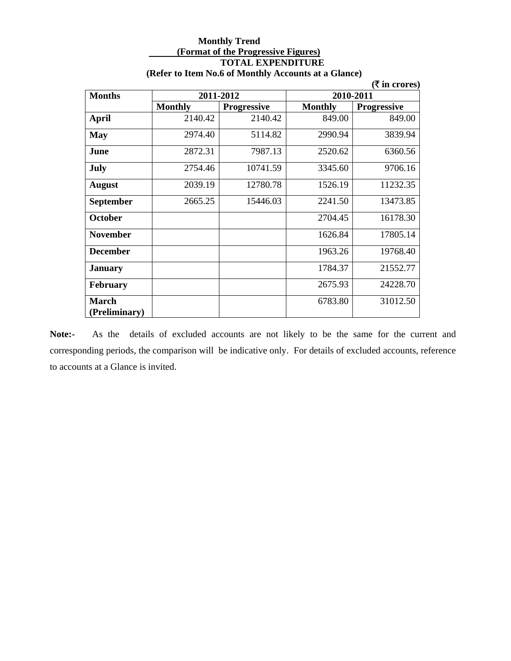#### **Monthly Trend (Format of the Progressive Figures) TOTAL EXPENDITURE (Refer to Item No.6 of Monthly Accounts at a Glance)**

|                               |                |                    |                | $(ξ$ in crores)    |
|-------------------------------|----------------|--------------------|----------------|--------------------|
| <b>Months</b>                 |                | 2011-2012          | 2010-2011      |                    |
|                               | <b>Monthly</b> | <b>Progressive</b> | <b>Monthly</b> | <b>Progressive</b> |
| <b>April</b>                  | 2140.42        | 2140.42            | 849.00         | 849.00             |
| <b>May</b>                    | 2974.40        | 5114.82            | 2990.94        | 3839.94            |
| June                          | 2872.31        | 7987.13            | 2520.62        | 6360.56            |
| July                          | 2754.46        | 10741.59           | 3345.60        | 9706.16            |
| <b>August</b>                 | 2039.19        | 12780.78           | 1526.19        | 11232.35           |
| September                     | 2665.25        | 15446.03           | 2241.50        | 13473.85           |
| <b>October</b>                |                |                    | 2704.45        | 16178.30           |
| <b>November</b>               |                |                    | 1626.84        | 17805.14           |
| <b>December</b>               |                |                    | 1963.26        | 19768.40           |
| <b>January</b>                |                |                    | 1784.37        | 21552.77           |
| <b>February</b>               |                |                    | 2675.93        | 24228.70           |
| <b>March</b><br>(Preliminary) |                |                    | 6783.80        | 31012.50           |

**Note:-** As the details of excluded accounts are not likely to be the same for the current and corresponding periods, the comparison will be indicative only. For details of excluded accounts, reference to accounts at a Glance is invited.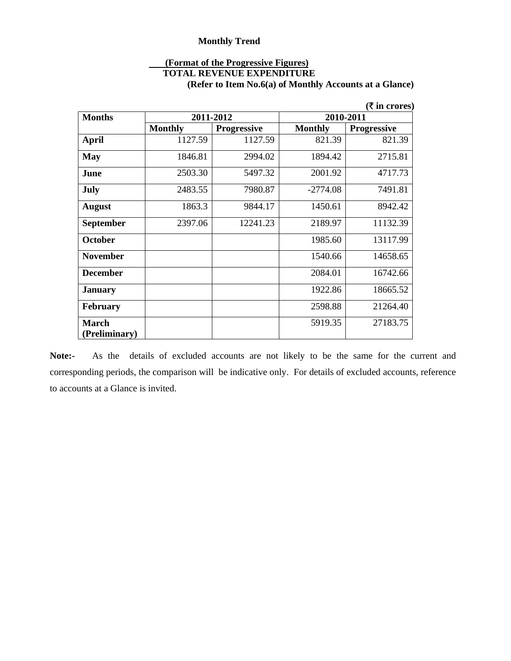### **(Format of the Progressive Figures)**

### **TOTAL REVENUE EXPENDITURE**

**(Refer to Item No.6(a) of Monthly Accounts at a Glance)** 

|                               |                |                    |                | ( ₹ in cross)      |
|-------------------------------|----------------|--------------------|----------------|--------------------|
| <b>Months</b>                 | 2011-2012      |                    | 2010-2011      |                    |
|                               | <b>Monthly</b> | <b>Progressive</b> | <b>Monthly</b> | <b>Progressive</b> |
| <b>April</b>                  | 1127.59        | 1127.59            | 821.39         | 821.39             |
| <b>May</b>                    | 1846.81        | 2994.02            | 1894.42        | 2715.81            |
| June                          | 2503.30        | 5497.32            | 2001.92        | 4717.73            |
| <b>July</b>                   | 2483.55        | 7980.87            | $-2774.08$     | 7491.81            |
| <b>August</b>                 | 1863.3         | 9844.17            | 1450.61        | 8942.42            |
| <b>September</b>              | 2397.06        | 12241.23           | 2189.97        | 11132.39           |
| <b>October</b>                |                |                    | 1985.60        | 13117.99           |
| <b>November</b>               |                |                    | 1540.66        | 14658.65           |
| <b>December</b>               |                |                    | 2084.01        | 16742.66           |
| <b>January</b>                |                |                    | 1922.86        | 18665.52           |
| <b>February</b>               |                |                    | 2598.88        | 21264.40           |
| <b>March</b><br>(Preliminary) |                |                    | 5919.35        | 27183.75           |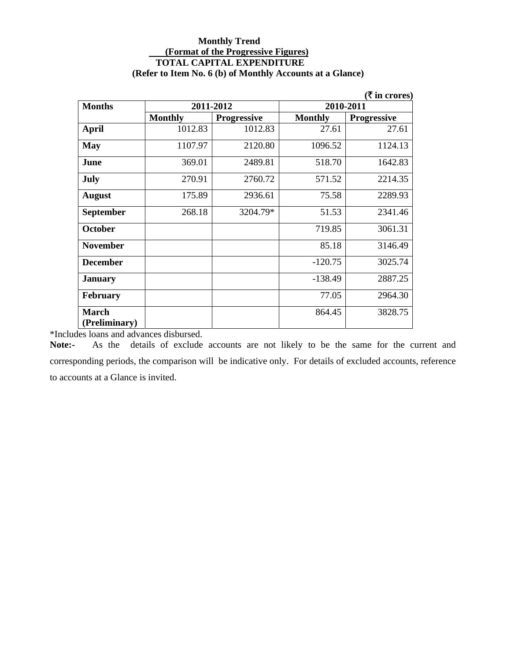#### **Monthly Trend (Format of the Progressive Figures) TOTAL CAPITAL EXPENDITURE (Refer to Item No. 6 (b) of Monthly Accounts at a Glance)**

|                  |                |                    |                | (₹ in crores)      |
|------------------|----------------|--------------------|----------------|--------------------|
| <b>Months</b>    |                | 2011-2012          | 2010-2011      |                    |
|                  | <b>Monthly</b> | <b>Progressive</b> | <b>Monthly</b> | <b>Progressive</b> |
| April            | 1012.83        | 1012.83            | 27.61          | 27.61              |
| <b>May</b>       | 1107.97        | 2120.80            | 1096.52        | 1124.13            |
| June             | 369.01         | 2489.81            | 518.70         | 1642.83            |
| July             | 270.91         | 2760.72            | 571.52         | 2214.35            |
| <b>August</b>    | 175.89         | 2936.61            | 75.58          | 2289.93            |
| <b>September</b> | 268.18         | 3204.79*           | 51.53          | 2341.46            |
| <b>October</b>   |                |                    | 719.85         | 3061.31            |
| <b>November</b>  |                |                    | 85.18          | 3146.49            |
| <b>December</b>  |                |                    | $-120.75$      | 3025.74            |
| <b>January</b>   |                |                    | $-138.49$      | 2887.25            |
| <b>February</b>  |                |                    | 77.05          | 2964.30            |
| <b>March</b>     |                |                    | 864.45         | 3828.75            |
| (Preliminary)    |                |                    |                |                    |

\*Includes loans and advances disbursed.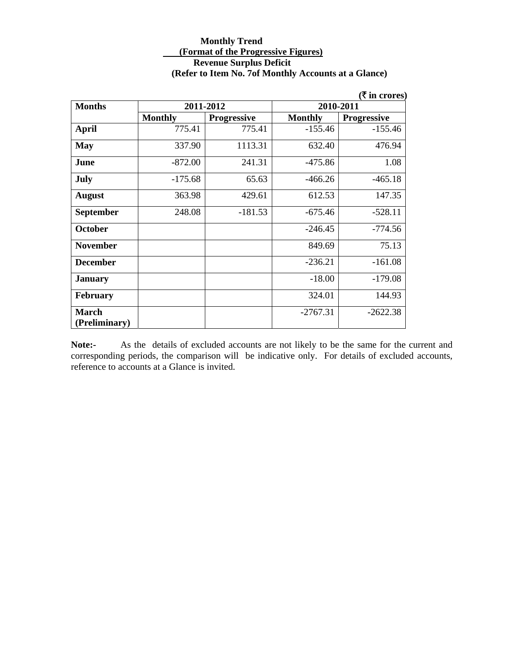#### **Monthly Trend (Format of the Progressive Figures) Revenue Surplus Deficit (Refer to Item No. 7of Monthly Accounts at a Glance)**

| $(\bar{\bar{\mathbf{x}}}$ in crores) |                |                    |                |                    |  |
|--------------------------------------|----------------|--------------------|----------------|--------------------|--|
| <b>Months</b>                        | 2011-2012      |                    | 2010-2011      |                    |  |
|                                      | <b>Monthly</b> | <b>Progressive</b> | <b>Monthly</b> | <b>Progressive</b> |  |
| <b>April</b>                         | 775.41         | 775.41             | $-155.46$      | $-155.46$          |  |
| <b>May</b>                           | 337.90         | 1113.31            | 632.40         | 476.94             |  |
| June                                 | $-872.00$      | 241.31             | $-475.86$      | 1.08               |  |
| July                                 | $-175.68$      | 65.63              | $-466.26$      | $-465.18$          |  |
| <b>August</b>                        | 363.98         | 429.61             | 612.53         | 147.35             |  |
| September                            | 248.08         | $-181.53$          | $-675.46$      | $-528.11$          |  |
| <b>October</b>                       |                |                    | $-246.45$      | $-774.56$          |  |
| <b>November</b>                      |                |                    | 849.69         | 75.13              |  |
| <b>December</b>                      |                |                    | $-236.21$      | $-161.08$          |  |
| <b>January</b>                       |                |                    | $-18.00$       | $-179.08$          |  |
| <b>February</b>                      |                |                    | 324.01         | 144.93             |  |
| <b>March</b>                         |                |                    | $-2767.31$     | $-2622.38$         |  |
| (Preliminary)                        |                |                    |                |                    |  |